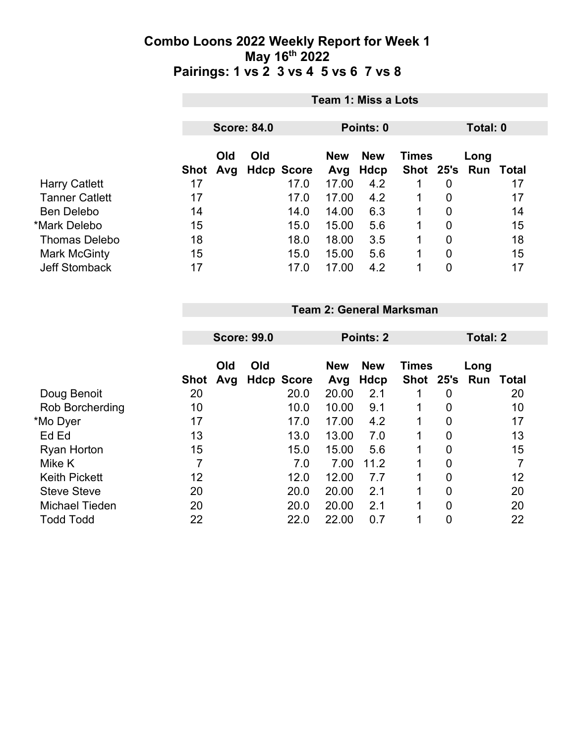|                       |      | Team 1: Miss a Lots                         |     |                   |                   |                    |              |   |                             |    |  |
|-----------------------|------|---------------------------------------------|-----|-------------------|-------------------|--------------------|--------------|---|-----------------------------|----|--|
|                       |      | <b>Score: 84.0</b><br>Points: 0<br>Total: 0 |     |                   |                   |                    |              |   |                             |    |  |
|                       | Shot | Old<br>Avg                                  | Old | <b>Hdcp Score</b> | <b>New</b><br>Avg | <b>New</b><br>Hdcp | <b>Times</b> |   | Long<br>Shot 25's Run Total |    |  |
| <b>Harry Catlett</b>  | 17   |                                             |     | 17.0              | 17.00             | 4.2                | 1            | 0 |                             | 17 |  |
| <b>Tanner Catlett</b> | 17   |                                             |     | 17.0              | 17.00             | 4.2                |              | 0 |                             | 17 |  |
| <b>Ben Delebo</b>     | 14   |                                             |     | 14.0              | 14.00             | 6.3                |              | 0 |                             | 14 |  |
| *Mark Delebo          | 15   |                                             |     | 15.0              | 15.00             | 5.6                | 1            | 0 |                             | 15 |  |
| <b>Thomas Delebo</b>  | 18   |                                             |     | 18.0              | 18.00             | 3.5                | 1            | 0 |                             | 18 |  |
| Mark McGinty          | 15   |                                             |     | 15.0              | 15.00             | 5.6                | 1            | 0 |                             | 15 |  |
| <b>Jeff Stomback</b>  | 17   |                                             |     | 17.0              | 17.00             | 4.2                |              | 0 |                             | 17 |  |

### **Team 2: General Marksman**

|                        | <b>Score: 99.0</b> |            |     |                   | Points: 2         |                           | <b>Total: 2</b>               |                |      |       |
|------------------------|--------------------|------------|-----|-------------------|-------------------|---------------------------|-------------------------------|----------------|------|-------|
|                        | Shot               | Old<br>Avg | Old | <b>Hdcp Score</b> | <b>New</b><br>Avg | <b>New</b><br><b>Hdcp</b> | <b>Times</b><br>Shot 25's Run |                | Long | Total |
| Doug Benoit            | 20                 |            |     | 20.0              | 20.00             | 2.1                       |                               | 0              |      | 20    |
| <b>Rob Borcherding</b> | 10                 |            |     | 10.0              | 10.00             | 9.1                       |                               | 0              |      | 10    |
| *Mo Dyer               | 17                 |            |     | 17.0              | 17.00             | 4.2                       | 1.                            | 0              |      | 17    |
| Ed Ed                  | 13                 |            |     | 13.0              | 13.00             | 7.0                       |                               | $\overline{0}$ |      | 13    |
| <b>Ryan Horton</b>     | 15                 |            |     | 15.0              | 15.00             | 5.6                       | 1                             | $\overline{0}$ |      | 15    |
| Mike K                 | 7                  |            |     | 7.0               | 7.00              | 11.2                      | $\mathbf 1$                   | 0              |      |       |
| <b>Keith Pickett</b>   | 12                 |            |     | 12.0              | 12.00             | 7.7                       | 1                             | $\overline{0}$ |      | 12    |
| <b>Steve Steve</b>     | 20                 |            |     | 20.0              | 20.00             | 2.1                       | $\mathbf 1$                   | $\overline{0}$ |      | 20    |
| <b>Michael Tieden</b>  | 20                 |            |     | 20.0              | 20.00             | 2.1                       | 1                             | $\overline{0}$ |      | 20    |
| <b>Todd Todd</b>       | 22                 |            |     | 22.0              | 22.00             | 0.7                       |                               | 0              |      | 22    |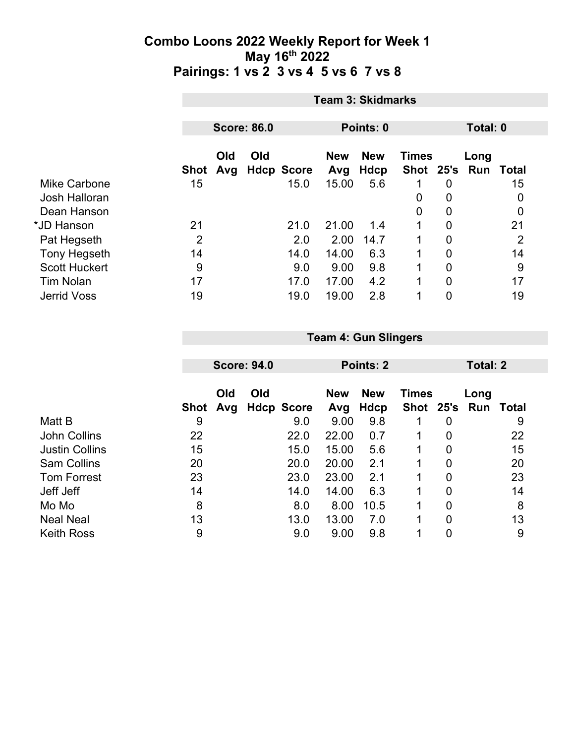|                      |             | <b>Team 3: Skidmarks</b> |     |                   |            |            |              |                  |          |                  |  |
|----------------------|-------------|--------------------------|-----|-------------------|------------|------------|--------------|------------------|----------|------------------|--|
|                      |             |                          |     |                   |            |            |              |                  |          |                  |  |
|                      |             | <b>Score: 86.0</b>       |     |                   |            | Points: 0  |              |                  | Total: 0 |                  |  |
|                      |             | Old                      | Old |                   | <b>New</b> | <b>New</b> | <b>Times</b> |                  | Long     |                  |  |
|                      | <b>Shot</b> | Avg                      |     | <b>Hdcp Score</b> | Avg        | Hdcp       | Shot 25's    |                  |          | <b>Run Total</b> |  |
| <b>Mike Carbone</b>  | 15          |                          |     | 15.0              | 15.00      | 5.6        | 1            | $\boldsymbol{0}$ |          | 15               |  |
| Josh Halloran        |             |                          |     |                   |            |            | 0            | $\overline{0}$   |          | 0                |  |
| Dean Hanson          |             |                          |     |                   |            |            | 0            | $\boldsymbol{0}$ |          | 0                |  |
| *JD Hanson           | 21          |                          |     | 21.0              | 21.00      | 1.4        | 1            | 0                |          | 21               |  |
| Pat Hegseth          | 2           |                          |     | 2.0               | 2.00       | 14.7       |              | $\overline{0}$   |          | $\overline{2}$   |  |
| <b>Tony Hegseth</b>  | 14          |                          |     | 14.0              | 14.00      | 6.3        | 1            | 0                |          | 14               |  |
| <b>Scott Huckert</b> | 9           |                          |     | 9.0               | 9.00       | 9.8        | 1            | $\overline{0}$   |          | 9                |  |
| <b>Tim Nolan</b>     | 17          |                          |     | 17.0              | 17.00      | 4.2        | 1            | $\overline{0}$   |          | 17               |  |
| <b>Jerrid Voss</b>   | 19          |                          |     | 19.0              | 19.00      | 2.8        | 1            | 0                |          | 19               |  |

|                       |      |     | <b>Score: 94.0</b> |                   |            | Points: 2  |               |                | <b>Total: 2</b> |       |
|-----------------------|------|-----|--------------------|-------------------|------------|------------|---------------|----------------|-----------------|-------|
|                       |      |     |                    |                   |            |            |               |                |                 |       |
|                       |      | Old | Old                |                   | <b>New</b> | <b>New</b> | <b>Times</b>  |                | Long            |       |
|                       | Shot | Avg |                    | <b>Hdcp Score</b> | Avg        | Hdcp       | Shot 25's Run |                |                 | Total |
| Matt B                | 9    |     |                    | 9.0               | 9.00       | 9.8        | 1             | 0              |                 | 9     |
| John Collins          | 22   |     |                    | 22.0              | 22.00      | 0.7        |               | 0              |                 | 22    |
| <b>Justin Collins</b> | 15   |     |                    | 15.0              | 15.00      | 5.6        | 1             | $\overline{0}$ |                 | 15    |
| <b>Sam Collins</b>    | 20   |     |                    | 20.0              | 20.00      | 2.1        | 1             | $\overline{0}$ |                 | 20    |
| <b>Tom Forrest</b>    | 23   |     |                    | 23.0              | 23.00      | 2.1        | 1             | 0              |                 | 23    |
| Jeff Jeff             | 14   |     |                    | 14.0              | 14.00      | 6.3        | 1             | 0              |                 | 14    |
| Mo Mo                 | 8    |     |                    | 8.0               | 8.00       | 10.5       | 1             | $\overline{0}$ |                 | 8     |
| <b>Neal Neal</b>      | 13   |     |                    | 13.0              | 13.00      | 7.0        | 1             | $\overline{0}$ |                 | 13    |
| <b>Keith Ross</b>     | 9    |     |                    | 9.0               | 9.00       | 9.8        | 1             | 0              |                 | 9     |

**Team 4: Gun Slingers**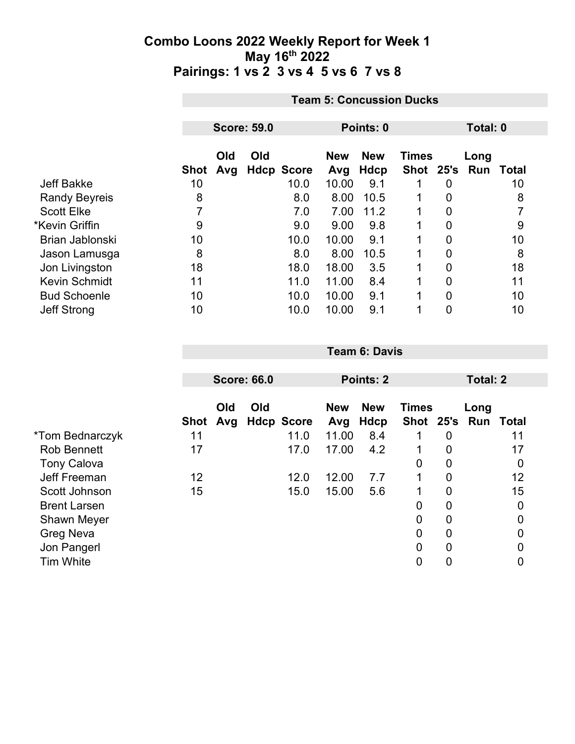|                      | <b>Team 5: Concussion Ducks</b> |                                             |     |                   |            |            |               |   |      |       |  |
|----------------------|---------------------------------|---------------------------------------------|-----|-------------------|------------|------------|---------------|---|------|-------|--|
|                      |                                 | <b>Score: 59.0</b><br>Points: 0<br>Total: 0 |     |                   |            |            |               |   |      |       |  |
|                      |                                 |                                             |     |                   |            |            |               |   |      |       |  |
|                      |                                 | Old                                         | Old |                   | <b>New</b> | <b>New</b> | <b>Times</b>  |   | Long |       |  |
|                      | Shot                            | Avg                                         |     | <b>Hdcp Score</b> | Avg        | Hdcp       | Shot 25's Run |   |      | Total |  |
| Jeff Bakke           | 10                              |                                             |     | 10.0              | 10.00      | 9.1        |               | 0 |      | 10    |  |
| <b>Randy Beyreis</b> | 8                               |                                             |     | 8.0               | 8.00       | 10.5       |               | 0 |      | 8     |  |
| <b>Scott Elke</b>    |                                 |                                             |     | 7.0               | 7.00       | 11.2       | $\mathbf 1$   | 0 |      | 7     |  |
| *Kevin Griffin       | 9                               |                                             |     | 9.0               | 9.00       | 9.8        |               | 0 |      | 9     |  |
| Brian Jablonski      | 10                              |                                             |     | 10.0              | 10.00      | 9.1        |               | 0 |      | 10    |  |
| Jason Lamusga        | 8                               |                                             |     | 8.0               | 8.00       | 10.5       |               | 0 |      | 8     |  |
| Jon Livingston       | 18                              |                                             |     | 18.0              | 18.00      | 3.5        |               | 0 |      | 18    |  |
| <b>Kevin Schmidt</b> | 11                              |                                             |     | 11.0              | 11.00      | 8.4        |               | 0 |      | 11    |  |
| <b>Bud Schoenle</b>  | 10                              |                                             |     | 10.0              | 10.00      | 9.1        |               | 0 |      | 10    |  |
| <b>Jeff Strong</b>   | 10                              |                                             |     | 10.0              | 10.00      | 9.1        |               | 0 |      | 10    |  |

|                     |      |            |                    |                   |                   | <b>Points: 2</b>   |                 |                |                             |                |
|---------------------|------|------------|--------------------|-------------------|-------------------|--------------------|-----------------|----------------|-----------------------------|----------------|
|                     |      |            | <b>Score: 66.0</b> |                   |                   |                    | <b>Total: 2</b> |                |                             |                |
|                     | Shot | Old<br>Avg | Old                | <b>Hdcp Score</b> | <b>New</b><br>Avg | <b>New</b><br>Hdcp | <b>Times</b>    |                | Long<br>Shot 25's Run Total |                |
| *Tom Bednarczyk     | 11   |            |                    | 11.0              | 11.00             | 8.4                |                 | 0              |                             | 11             |
| <b>Rob Bennett</b>  | 17   |            |                    | 17.0              | 17.00             | 4.2                |                 | 0              |                             | 17             |
| <b>Tony Calova</b>  |      |            |                    |                   |                   |                    | 0               | 0              |                             | 0              |
| Jeff Freeman        | 12   |            |                    | 12.0              | 12.00             | 7.7                | 1               | $\overline{0}$ |                             | 12             |
| Scott Johnson       | 15   |            |                    | 15.0              | 15.00             | 5.6                | 1               | 0              |                             | 15             |
| <b>Brent Larsen</b> |      |            |                    |                   |                   |                    | 0               | 0              |                             | $\mathbf 0$    |
| <b>Shawn Meyer</b>  |      |            |                    |                   |                   |                    | 0               | $\overline{0}$ |                             | $\overline{0}$ |
| <b>Greg Neva</b>    |      |            |                    |                   |                   |                    | 0               | 0              |                             | 0              |
| Jon Pangerl         |      |            |                    |                   |                   |                    | 0               | 0              |                             | 0              |
| <b>Tim White</b>    |      |            |                    |                   |                   |                    | 0               | 0              |                             | 0              |

**Team 6: Davis**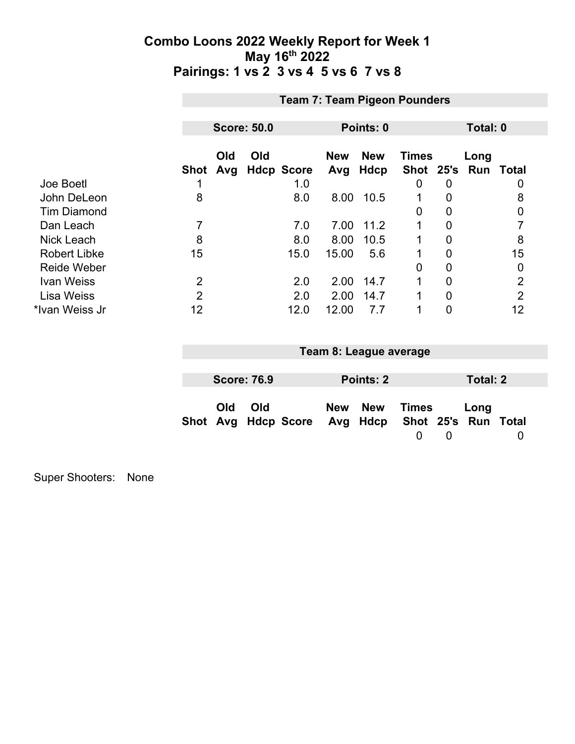|                     |                | <b>Team 7: Team Pigeon Pounders</b> |     |                   |                   |                    |                               |                |      |                |  |  |
|---------------------|----------------|-------------------------------------|-----|-------------------|-------------------|--------------------|-------------------------------|----------------|------|----------------|--|--|
|                     |                | <b>Score: 50.0</b><br>Points: 0     |     |                   |                   |                    |                               | Total: 0       |      |                |  |  |
|                     | Shot           | Old<br>Avg                          | Old | <b>Hdcp Score</b> | <b>New</b><br>Avg | <b>New</b><br>Hdcp | <b>Times</b><br>Shot 25's Run |                | Long | Total          |  |  |
| Joe Boetl           |                |                                     |     | 1.0               |                   |                    | 0                             | 0              |      | 0              |  |  |
| John DeLeon         | 8              |                                     |     | 8.0               | 8.00              | 10.5               |                               | 0              |      | 8              |  |  |
| <b>Tim Diamond</b>  |                |                                     |     |                   |                   |                    | 0                             | 0              |      | $\mathbf 0$    |  |  |
| Dan Leach           | 7              |                                     |     | 7.0               | 7.00              | 11.2               |                               | 0              |      |                |  |  |
| Nick Leach          | 8              |                                     |     | 8.0               | 8.00              | 10.5               |                               | 0              |      | 8              |  |  |
| <b>Robert Libke</b> | 15             |                                     |     | 15.0              | 15.00             | 5.6                |                               | 0              |      | 15             |  |  |
| <b>Reide Weber</b>  |                |                                     |     |                   |                   |                    | 0                             | 0              |      | $\mathbf 0$    |  |  |
| Ivan Weiss          | 2              |                                     |     | 2.0               | 2.00              | 14.7               |                               | 0              |      | $\overline{2}$ |  |  |
| <b>Lisa Weiss</b>   | $\overline{2}$ |                                     |     | 2.0               | 2.00              | 14.7               |                               | $\overline{0}$ |      | $\overline{2}$ |  |  |
| *Ivan Weiss Jr      | 12             |                                     |     | 12.0              | 12.00             | 7.7                |                               | 0              |      | 12             |  |  |

|            |                    |                                                  | Team 8: League average |       |          |          |  |
|------------|--------------------|--------------------------------------------------|------------------------|-------|----------|----------|--|
|            |                    |                                                  |                        |       |          |          |  |
|            | <b>Score: 76.9</b> |                                                  | Points: 2              |       |          | Total: 2 |  |
| <b>Old</b> | Old                | Shot Avg Hdcp Score Avg Hdcp Shot 25's Run Total | New New                | Times | $\Omega$ | Long     |  |

Super Shooters: None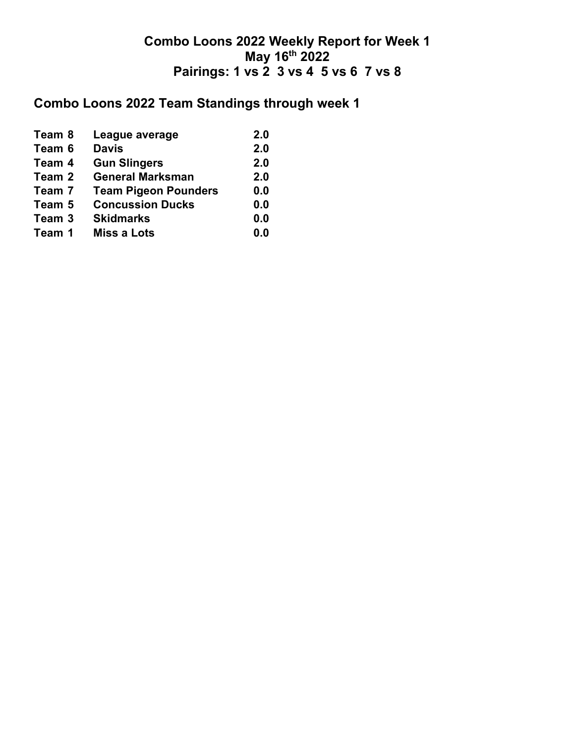## **Combo Loons 2022 Team Standings through week 1**

| <b>Davis</b><br>Team 6<br><b>Gun Slingers</b><br>Team 4<br><b>General Marksman</b><br>Team 2<br><b>Team Pigeon Pounders</b><br>Team 7<br><b>Concussion Ducks</b><br>Team 5<br><b>Skidmarks</b><br>Team 3<br><b>Miss a Lots</b><br>Team 1 | Team 8 | League average | 2.0 |
|------------------------------------------------------------------------------------------------------------------------------------------------------------------------------------------------------------------------------------------|--------|----------------|-----|
|                                                                                                                                                                                                                                          |        |                | 2.0 |
|                                                                                                                                                                                                                                          |        |                | 2.0 |
|                                                                                                                                                                                                                                          |        |                | 2.0 |
|                                                                                                                                                                                                                                          |        |                | 0.0 |
|                                                                                                                                                                                                                                          |        |                | 0.0 |
|                                                                                                                                                                                                                                          |        |                | 0.0 |
|                                                                                                                                                                                                                                          |        |                | 0.0 |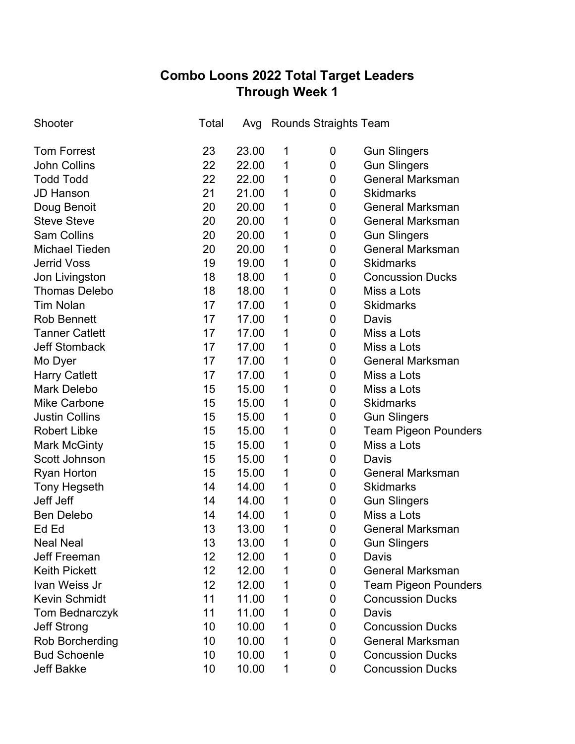# **Combo Loons 2022 Total Target Leaders Through Week 1**

| Shooter               | Total | Avg   |   | <b>Rounds Straights Team</b> |                             |
|-----------------------|-------|-------|---|------------------------------|-----------------------------|
| <b>Tom Forrest</b>    | 23    | 23.00 | 1 | 0                            | <b>Gun Slingers</b>         |
| <b>John Collins</b>   | 22    | 22.00 | 1 | 0                            | <b>Gun Slingers</b>         |
| <b>Todd Todd</b>      | 22    | 22.00 | 1 | 0                            | <b>General Marksman</b>     |
| <b>JD Hanson</b>      | 21    | 21.00 | 1 | 0                            | <b>Skidmarks</b>            |
| Doug Benoit           | 20    | 20.00 | 1 | 0                            | <b>General Marksman</b>     |
| <b>Steve Steve</b>    | 20    | 20.00 | 1 | 0                            | <b>General Marksman</b>     |
| <b>Sam Collins</b>    | 20    | 20.00 | 1 | 0                            | <b>Gun Slingers</b>         |
| <b>Michael Tieden</b> | 20    | 20.00 | 1 | 0                            | <b>General Marksman</b>     |
| <b>Jerrid Voss</b>    | 19    | 19.00 | 1 | 0                            | <b>Skidmarks</b>            |
| Jon Livingston        | 18    | 18.00 | 1 | 0                            | <b>Concussion Ducks</b>     |
| <b>Thomas Delebo</b>  | 18    | 18.00 | 1 | 0                            | Miss a Lots                 |
| <b>Tim Nolan</b>      | 17    | 17.00 | 1 | 0                            | <b>Skidmarks</b>            |
| <b>Rob Bennett</b>    | 17    | 17.00 | 1 | 0                            | Davis                       |
| <b>Tanner Catlett</b> | 17    | 17.00 | 1 | 0                            | Miss a Lots                 |
| <b>Jeff Stomback</b>  | 17    | 17.00 | 1 | 0                            | Miss a Lots                 |
| Mo Dyer               | 17    | 17.00 | 1 | 0                            | <b>General Marksman</b>     |
| <b>Harry Catlett</b>  | 17    | 17.00 | 1 | 0                            | Miss a Lots                 |
| <b>Mark Delebo</b>    | 15    | 15.00 | 1 | 0                            | Miss a Lots                 |
| <b>Mike Carbone</b>   | 15    | 15.00 | 1 | 0                            | <b>Skidmarks</b>            |
| <b>Justin Collins</b> | 15    | 15.00 | 1 | 0                            | <b>Gun Slingers</b>         |
| <b>Robert Libke</b>   | 15    | 15.00 | 1 | 0                            | <b>Team Pigeon Pounders</b> |
| <b>Mark McGinty</b>   | 15    | 15.00 | 1 | 0                            | Miss a Lots                 |
| Scott Johnson         | 15    | 15.00 | 1 | 0                            | Davis                       |
| <b>Ryan Horton</b>    | 15    | 15.00 | 1 | 0                            | <b>General Marksman</b>     |
| <b>Tony Hegseth</b>   | 14    | 14.00 | 1 | 0                            | <b>Skidmarks</b>            |
| Jeff Jeff             | 14    | 14.00 | 1 | 0                            | <b>Gun Slingers</b>         |
| <b>Ben Delebo</b>     | 14    | 14.00 | 1 | 0                            | Miss a Lots                 |
| EY EY                 | 13    | 13.00 | 1 | 0                            | <b>General Marksman</b>     |
| <b>Neal Neal</b>      | 13    | 13.00 | 1 | 0                            | <b>Gun Slingers</b>         |
| <b>Jeff Freeman</b>   | 12    | 12.00 | 1 | 0                            | Davis                       |
| <b>Keith Pickett</b>  | 12    | 12.00 | 1 | 0                            | <b>General Marksman</b>     |
| Ivan Weiss Jr         | 12    | 12.00 | 1 | 0                            | <b>Team Pigeon Pounders</b> |
| <b>Kevin Schmidt</b>  | 11    | 11.00 | 1 | 0                            | <b>Concussion Ducks</b>     |
| Tom Bednarczyk        | 11    | 11.00 | 1 | 0                            | Davis                       |
| <b>Jeff Strong</b>    | 10    | 10.00 | 1 | 0                            | <b>Concussion Ducks</b>     |
| Rob Borcherding       | 10    | 10.00 | 1 | 0                            | <b>General Marksman</b>     |
| <b>Bud Schoenle</b>   | 10    | 10.00 | 1 | 0                            | <b>Concussion Ducks</b>     |
| <b>Jeff Bakke</b>     | 10    | 10.00 | 1 | 0                            | <b>Concussion Ducks</b>     |